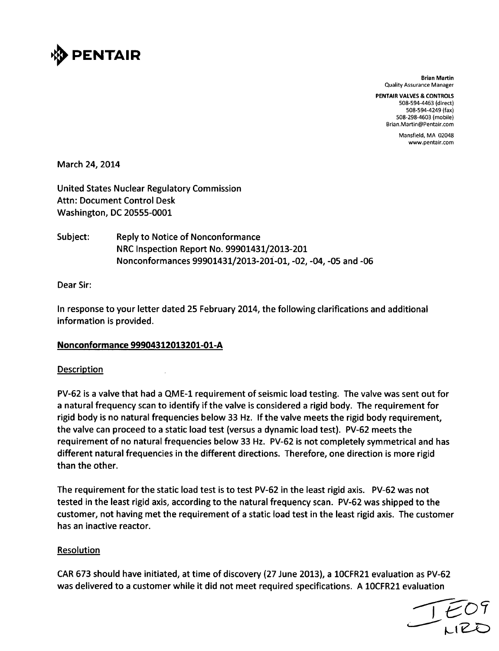

Brian Martin Quality Assurance Manager

PENTAIR **VALVES & CONTROLS** 508-594-4463 (direct) 508-594-4249 (fax) 508-298-4603 (mobile) Brian.Martin@Pentair.com

> Mansfield, MA 02048 www.pentair.com

March 24, 2014

United States Nuclear Regulatory Commission Attn: Document Control Desk Washington, DC 20555-0001

Subject: Reply to Notice of Nonconformance NRC Inspection Report No. 99901431/2013-201 Nonconformances 99901431/2013-20i-01, -02, -04, -05 and -06

Dear Sir:

In response to your letter dated 25 February 2014, the following clarifications and additional information is provided.

### Nonconformance 99904312013201-01-A

#### Description

PV-62 is a valve that had a QME-1 requirement of seismic load testing. The valve was sent out for a natural frequency scan to identify if the valve is considered a rigid body. The requirement for rigid body is no natural frequencies below 33 Hz. If the valve meets the rigid body requirement, the valve can proceed to a static load test (versus a dynamic load test). PV-62 meets the requirement of no natural frequencies below 33 Hz. PV-62 is not completely symmetrical and has different natural frequencies in the different directions. Therefore, one direction is more rigid than the other.

The requirement for the static load test is to test PV-62 in the least rigid axis. PV-62 was not tested in the least rigid axis, according to the natural frequency scan. PV-62 was shipped to the customer, not having met the requirement of a static load test in the least rigid axis. The customer has an inactive reactor.

### Resolution

CAR 673 should have initiated, at time of discovery (27 June 2013), a 10CFR21 evaluation as PV-62 was delivered to a customer while it did not meet required specifications. A 10CFR21 evaluation

 $L$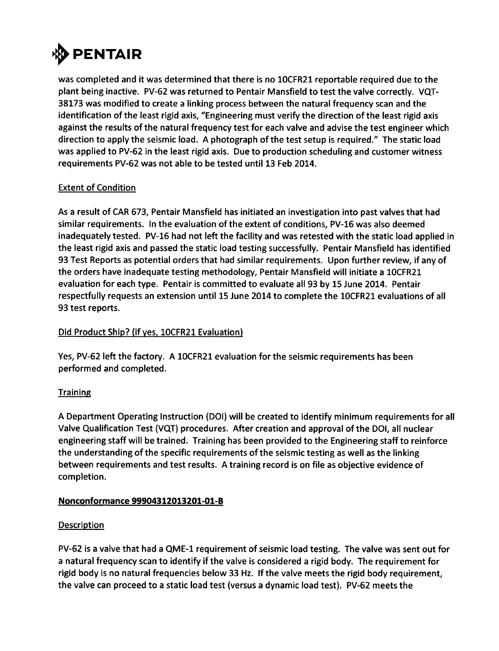

was completed and it was determined that there is no IOCFR21 reportable required due to the plant being inactive. PV-62 was returned to Pentair Mansfield to test the valve correctly. **VQT-38173** was modified to create a linking process between the natural frequency scan and the identification of the least rigid axis, "Engineering must verify the direction of the least rigid axis against the results of the natural frequency test for each valve and advise the test engineer which direction to apply the seismic load. **A** photograph of the test setup is required." The static load was applied to PV-62 in the least rigid axis. Due to production scheduling and customer witness requirements PV-62 was not able to be tested until **13** Feb 2014.

# Extent of Condition

As a result of CAR **673,** Pentair Mansfield has initiated an investigation into past valves that had similar requirements. In the evaluation of the extent of conditions, PV-16 was also deemed inadequately tested. PV-16 had not left the facility and was retested with the static load applied in the least rigid axis and passed the static load testing successfully. Pentair Mansfield has identified **93** Test Reports as potential orders that had similar requirements. Upon further review, if any of the orders have inadequate testing methodology, Pentair Mansfield will initiate a 10CFR21 evaluation for each type. Pentair is committed to evaluate all **93 by 15** June 2014. Pentair respectfully requests an extension until **15** June 2014 to complete the IOCFR21 evaluations of all **93** test reports.

# Did Product Ship? (if yes, 10CFR21 Evaluation)

Yes, PV-62 left the factory. **A** 10CFR21 evaluation for the seismic requirements has been performed and completed.

# **Training**

**A** Department Operating Instruction **(DOI)** will be created to identify minimum requirements for all Valve Qualification Test **(VQT)** procedures. After creation and approval of the **DOI,** all nuclear engineering staff will be trained. Training has been provided to the Engineering staff to reinforce the understanding of the specific requirements of the seismic testing as well as the linking between requirements and test results. **A** training record is on file as objective evidence of completion.

### Nonconformance 99904312013201-01-B

### **Description**

PV-62 is a valve that had a **QME-1** requirement of seismic load testing. The valve was sent out for a natural frequency scan to identify if the valve is considered a rigid body. The requirement for rigid body is no natural frequencies below **33** Hz. **If** the valve meets the rigid body requirement, the valve can proceed to a static load test (versus a dynamic load test). PV-62 meets the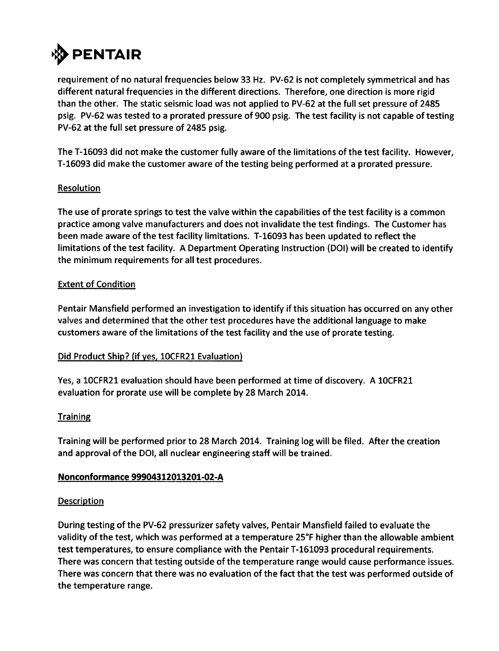

requirement of no natural frequencies below **33** Hz. PV-62 is not completely symmetrical and has different natural frequencies in the different directions. Therefore, one direction is more rigid than the other. The static seismic load was not applied to PV-62 at the full set pressure of 2485 psig. PV-62 was tested to a prorated pressure of **900** psig. The test facility is not capable of testing PV-62 at the full set pressure of 2485 psig.

The **T-16093** did not make the customer fully aware of the limitations of the test facility. However, **T-16093** did make the customer aware of the testing being performed at a prorated pressure.

### **Resolution**

The use of prorate springs to test the valve within the capabilities of the test facility is a common practice among valve manufacturers and does not invalidate the test findings. The Customer has been made aware of the test facility limitations. **T-16093** has been updated to reflect the limitations of the test facility. **A** Department Operating Instruction **(DOI)** will be created to identify the minimum requirements for all test procedures.

# Extent of Condition

Pentair Mansfield performed an investigation to identify if this situation has occurred on any other valves and determined that the other test procedures have the additional language to make customers aware of the limitations of the test facility and the use of prorate testing.

### Did Product Ship? (if yes, IOCFR21 Evaluation)

Yes, a 10CFR21 evaluation should have been performed at time of discovery. **A** 10CFR21 evaluation for prorate use will be complete **by 28** March 2014.

### **Training**

Training will be performed prior to **28** March 2014. Training log will be filed. After the creation and approval of the **DOI,** all nuclear engineering staff will be trained.

### Nonconformance **99904312013201-02-A**

### **Description**

During testing of the PV-62 pressurizer safety valves, Pentair Mansfield failed to evaluate the validity of the test, which was performed at a temperature **250F** higher than the allowable ambient test temperatures, to ensure compliance with the Pentair **T-161093** procedural requirements. There was concern that testing outside of the temperature range would cause performance issues. There was concern that there was no evaluation of the fact that the test was performed outside of the temperature range.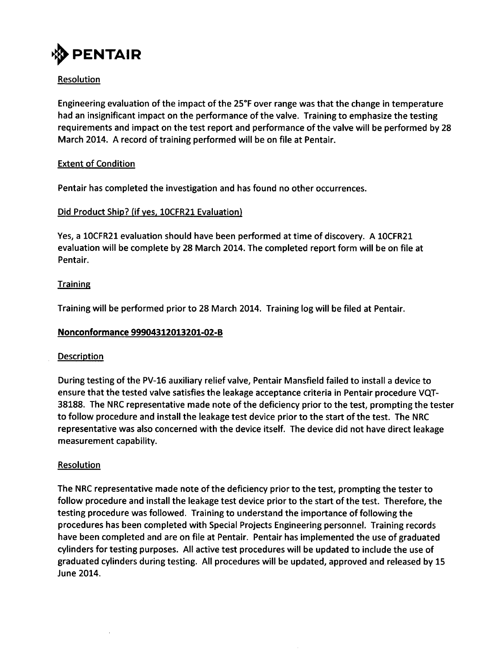

# Resolution

Engineering evaluation of the impact of the **250F** over range was that the change in temperature had an insignificant impact on the performance of the valve. Training to emphasize the testing requirements and impact on the test report and performance of the valve will be performed **by 28** March 2014. **A** record of training performed will be on file at Pentair.

### Extent of Condition

Pentair has completed the investigation and has found no other occurrences.

### Did Product Ship? (if yes, 10CFR21 Evaluation)

Yes, a 10CFR21 evaluation should have been performed at time of discovery. **A** 10CFR21 evaluation will be complete **by 28** March 2014. The completed report form will be on file at Pentair.

#### **Training**

Training will be performed prior to **28** March 2014. Training log will be filed at Pentair.

### Nonconformance 99904312013201-02-B

#### **Description**

During testing of the PV-16 auxiliary relief valve, Pentair Mansfield failed to install a device to ensure that the tested valve satisfies the leakage acceptance criteria in Pentair procedure **VQT-38188.** The NRC representative made note of the deficiency prior to the test, prompting the tester to follow procedure and install the leakage test device prior to the start of the test. The NRC representative was also concerned with the device itself. The device did not have direct leakage measurement capability.

### **Resolution**

The NRC representative made note of the deficiency prior to the test, prompting the tester to follow procedure and install the leakage test device prior to the start of the test. Therefore, the testing procedure was followed. Training to understand the importance of following the procedures has been completed with Special Projects Engineering personnel. Training records have been completed and are on file at Pentair. Pentair has implemented the use of graduated cylinders for testing purposes. **All** active test procedures will be updated to include the use of graduated cylinders during testing. **All** procedures will be updated, approved and released **by 15** June 2014.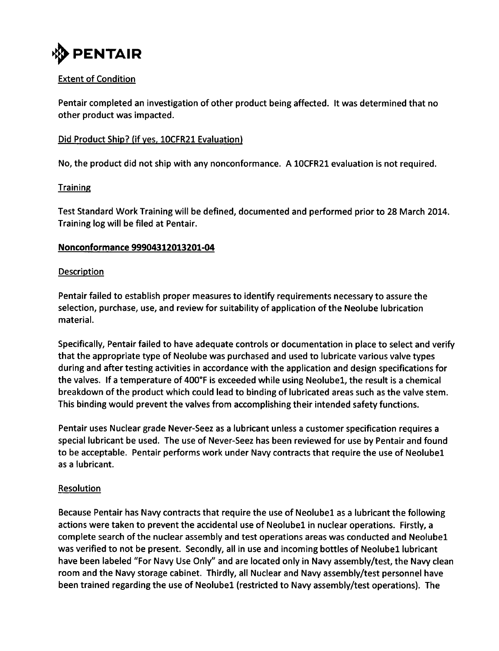

# Extent of Condition

Pentair completed an investigation of other product being affected. It was determined that no other product was impacted.

# Did Product Ship? (if yes, 1OCFR21 Evaluation)

No, the product did not ship with any nonconformance. A 10CFR21 evaluation is not required.

# **Training**

Test Standard Work Training will be defined, documented and performed prior to 28 March 2014. Training log will be filed at Pentair.

### Nonconformance 99904312013201-04

### Description

Pentair failed to establish proper measures to identify requirements necessary to assure the selection, purchase, use, and review for suitability of application of the Neolube lubrication material.

Specifically, Pentair failed to have adequate controls or documentation in place to select and verify that the appropriate type of Neolube was purchased and used to lubricate various valve types during and after testing activities in accordance with the application and design specifications for the valves. If a temperature of 400°F is exceeded while using Neolubel, the result is a chemical breakdown of the product which could lead to binding of lubricated areas such as the valve stem. This binding would prevent the valves from accomplishing their intended safety functions.

Pentair uses Nuclear grade Never-Seez as a lubricant unless a customer specification requires a special lubricant be used. The use of Never-Seez has been reviewed for use by Pentair and found to be acceptable. Pentair performs work under Navy contracts that require the use of Neolubel as a lubricant.

### Resolution

Because Pentair has Navy contracts that require the use of Neolubel as a lubricant the following actions were taken to prevent the accidental use of Neolube1 in nuclear operations. Firstly, a complete search of the nuclear assembly and test operations areas was conducted and Neolubel was verified to not be present. Secondly, all in use and incoming bottles of Neolube1 lubricant have been labeled "For Navy Use Only" and are located only in Navy assembly/test, the Navy clean room and the Navy storage cabinet. Thirdly, all Nuclear and Navy assembly/test personnel have been trained regarding the use of Neolubel (restricted to Navy assembly/test operations). The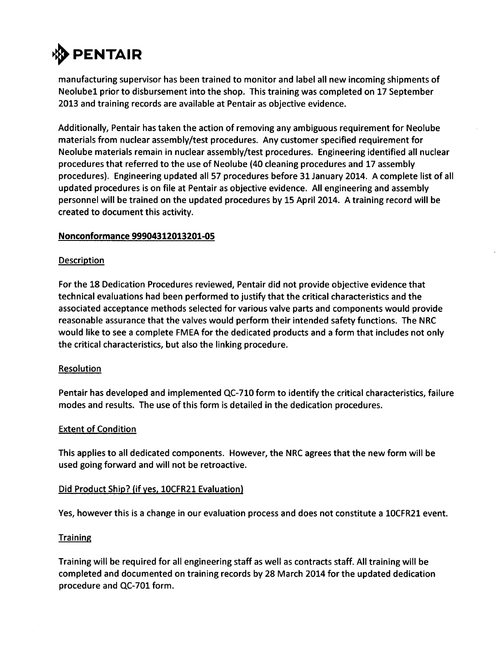

manufacturing supervisor has been trained to monitor and label all new incoming shipments of Neolubel prior to disbursement into the shop. This training was completed on **17** September **2013** and training records are available at Pentair as objective evidence.

Additionally, Pentair has taken the action of removing any ambiguous requirement for Neolube materials from nuclear assembly/test procedures. Any customer specified requirement for Neolube materials remain in nuclear assembly/test procedures. Engineering identified all nuclear procedures that referred to the use of Neolube (40 cleaning procedures and **17** assembly procedures). Engineering updated all **57** procedures before **31** January 2014. **A** complete list of all updated procedures is on file at Pentair as objective evidence. **All** engineering and assembly personnel will be trained on the updated procedures **by 15** April 2014. **A** training record will be created to document this activity.

#### Nonconformance **99904312013201-05**

#### **Description**

For the **18** Dedication Procedures reviewed, Pentair did not provide objective evidence that technical evaluations had been performed to justify that the critical characteristics and the associated acceptance methods selected for various valve parts and components would provide reasonable assurance that the valves would perform their intended safety functions. The NRC would like to see a complete **FMEA** for the dedicated products and a form that includes not only the critical characteristics, but also the linking procedure.

#### **Resolution**

Pentair has developed and implemented **QC-710** form to identify the critical characteristics, failure modes and results. The use of this form is detailed in the dedication procedures.

#### Extent of Condition

This applies to all dedicated components. However, the NRC agrees that the new form will be used going forward and will not be retroactive.

#### Did Product Ship? (if yes, 10CFR21 Evaluation)

Yes, however this is a change in our evaluation process and does not constitute a 10CFR21 event.

#### **Training**

Training will be required for all engineering staff as well as contracts staff. **All** training will be completed and documented on training records **by 28** March 2014 for the updated dedication procedure and **QC-701** form.